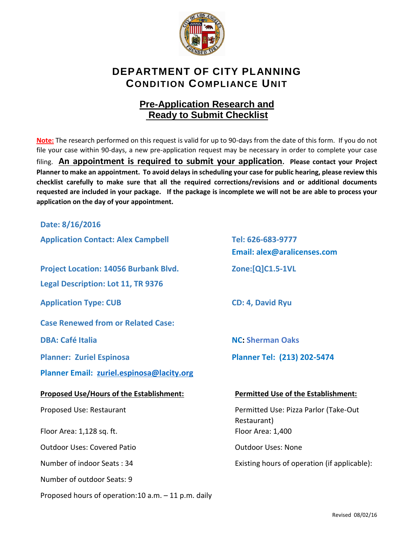

## **DEPARTMENT OF CITY PLANNING CONDITION COMPLIANCE UNIT**

## **Pre-Application Research and Ready to Submit Checklist**

**Note:** The research performed on this request is valid for up to 90-days from the date of this form. If you do not file your case within 90-days, a new pre-application request may be necessary in order to complete your case filing. **An appointment is required to submit your application. Please contact your Project Planner to make an appointment. To avoid delays in scheduling your case for public hearing, please review this checklist carefully to make sure that all the required corrections/revisions and or additional documents requested are included in your package. If the package is incomplete we will not be are able to process your application on the day of your appointment.** 

**Date: 8/16/2016**

**Application Contact: Alex Campbell Tel: 626-683-9777**

**Project Location: 14056 Burbank Blvd. Zone:[Q]C1.5-1VL**

**Legal Description: Lot 11, TR 9376**

**Application Type: CUB CD: 4, David Ryu**

**Case Renewed from or Related Case:**

**Planner Email: [zuriel.espinosa@lacity.org](mailto:zuriel.espinosa@lacity.org)**

#### **Proposed Use/Hours of the Establishment: Permitted Use of the Establishment:**

Floor Area: 1,128 sq. ft. Floor Area: 1,400

Outdoor Uses: Covered Patio Communication Cutdoor Uses: None

Number of outdoor Seats: 9

Proposed hours of operation:10 a.m. – 11 p.m. daily

**Email: alex@aralicenses.com**

**DBA: Café Italia NC: Sherman Oaks**

**Planner: Zuriel Espinosa Planner Tel: (213) 202-5474**

Proposed Use: Restaurant **Permitted Use: Pizza Parlor (Take-Out** Restaurant)

Number of indoor Seats : 34 **Existing hours of operation (if applicable)**: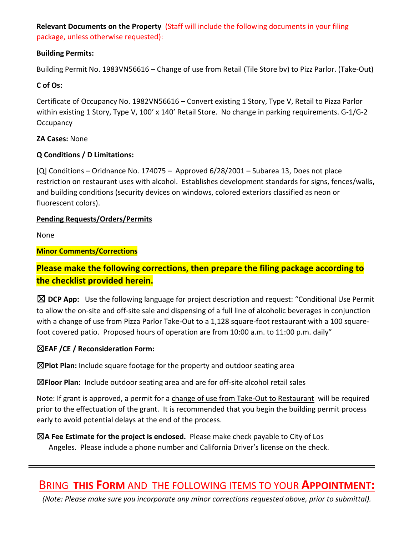**Relevant Documents on the Property** (Staff will include the following documents in your filing package, unless otherwise requested):

### **Building Permits:**

Building Permit No. 1983VN56616 – Change of use from Retail (Tile Store bv) to Pizz Parlor. (Take-Out)

### **C of Os:**

Certificate of Occupancy No. 1982VN56616 – Convert existing 1 Story, Type V, Retail to Pizza Parlor within existing 1 Story, Type V, 100' x 140' Retail Store. No change in parking requirements. G-1/G-2 **Occupancy** 

#### **ZA Cases:** None

### **Q Conditions / D Limitations:**

[Q] Conditions – Oridnance No. 174075 – Approved 6/28/2001 – Subarea 13, Does not place restriction on restaurant uses with alcohol. Establishes development standards for signs, fences/walls, and building conditions (security devices on windows, colored exteriors classified as neon or fluorescent colors).

### **Pending Requests/Orders/Permits**

None

### **Minor Comments/Corrections**

## **Please make the following corrections, then prepare the filing package according to the checklist provided herein.**

☒ **DCP App:** Use the following language for project description and request: "Conditional Use Permit to allow the on-site and off-site sale and dispensing of a full line of alcoholic beverages in conjunction with a change of use from Pizza Parlor Take-Out to a 1,128 square-foot restaurant with a 100 squarefoot covered patio. Proposed hours of operation are from 10:00 a.m. to 11:00 p.m. daily"

### ☒**EAF /CE / Reconsideration Form:**

☒**Plot Plan:** Include square footage for the property and outdoor seating area

☒**Floor Plan:** Include outdoor seating area and are for off-site alcohol retail sales

Note: If grant is approved, a permit for a change of use from Take-Out to Restaurant will be required prior to the effectuation of the grant. It is recommended that you begin the building permit process early to avoid potential delays at the end of the process.

☒**A Fee Estimate for the project is enclosed.** Please make check payable to City of Los Angeles. Please include a phone number and California Driver's license on the check.

## BRING **THIS FORM** AND THE FOLLOWING ITEMS TO YOUR **APPOINTMENT:**

*(Note: Please make sure you incorporate any minor corrections requested above, prior to submittal).*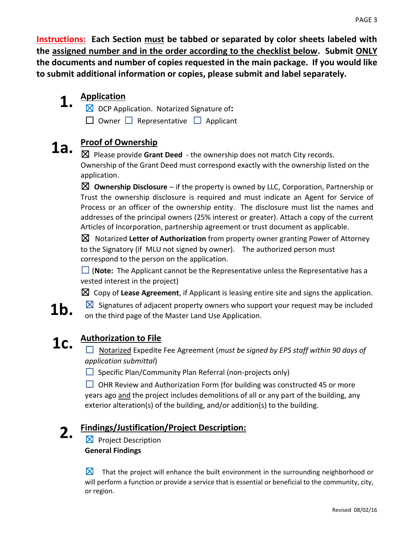**Instructions: Each Section must be tabbed or separated by color sheets labeled with the assigned number and in the order according to the checklist below. Submit ONLY the documents and number of copies requested in the main package. If you would like to submit additional information or copies, please submit and label separately.**

#### **1. Application**

☒ DCP Application. Notarized Signature of**:**

☐ Owner ☐ Representative ☐ Applicant

# **1a. Proof of Ownership**

☒ Please provide **Grant Deed** - the ownership does not match City records. Ownership of the Grant Deed must correspond exactly with the ownership listed on the application.

☒ **Ownership Disclosure** – if the property is owned by LLC, Corporation, Partnership or Trust the ownership disclosure is required and must indicate an Agent for Service of Process or an officer of the ownership entity. The disclosure must list the names and addresses of the principal owners (25% interest or greater). Attach a copy of the current Articles of Incorporation, partnership agreement or trust document as applicable.

☒ Notarized **Letter of Authorization** from property owner granting Power of Attorney to the Signatory (if MLU not signed by owner). The authorized person must correspond to the person on the application.

□ (**Note:** The Applicant cannot be the Representative unless the Representative has a vested interest in the project)

 $\boxtimes$  Copy of Lease Agreement, if Applicant is leasing entire site and signs the application.

**1b.**  $\boxtimes$  Signatures of adjacent property owners who support your request may be included on the third page of the Master Land Use Application.

## **1c. Authorization to File**

☐ Notarized Expedite Fee Agreement (*must be signed by EPS staff within 90 days of application submittal*)

 $\Box$  Specific Plan/Community Plan Referral (non-projects only)

 $\Box$  OHR Review and Authorization Form (for building was constructed 45 or more years ago and the project includes demolitions of all or any part of the building, any exterior alteration(s) of the building, and/or addition(s) to the building.

#### **2. Findings/Justification/Project Description:**

 $\boxtimes$  Project Description **General Findings**

 $\boxtimes$  That the project will enhance the built environment in the surrounding neighborhood or will perform a function or provide a service that is essential or beneficial to the community, city, or region.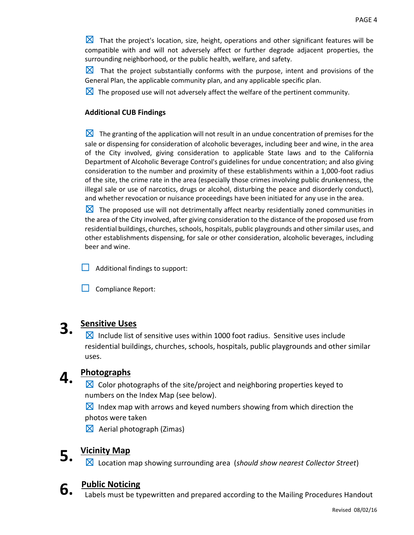☒That the project's location, size, height, operations and other significant features will be compatible with and will not adversely affect or further degrade adjacent properties, the surrounding neighborhood, or the public health, welfare, and safety.

 $\boxtimes$  That the project substantially conforms with the purpose, intent and provisions of the General Plan, the applicable community plan, and any applicable specific plan.

 $\boxtimes$  The proposed use will not adversely affect the welfare of the pertinent community.

#### **Additional CUB Findings**

 $\boxtimes$  The granting of the application will not result in an undue concentration of premises for the sale or dispensing for consideration of alcoholic beverages, including beer and wine, in the area of the City involved, giving consideration to applicable State laws and to the California Department of Alcoholic Beverage Control's guidelines for undue concentration; and also giving consideration to the number and proximity of these establishments within a 1,000-foot radius of the site, the crime rate in the area (especially those crimes involving public drunkenness, the illegal sale or use of narcotics, drugs or alcohol, disturbing the peace and disorderly conduct), and whether revocation or nuisance proceedings have been initiated for any use in the area.

 $\boxtimes$  The proposed use will not detrimentally affect nearby residentially zoned communities in the area of the City involved, after giving consideration to the distance of the proposed use from residential buildings, churches, schools, hospitals, public playgrounds and other similar uses, and other establishments dispensing, for sale or other consideration, alcoholic beverages, including beer and wine.

 $\Box$  Additional findings to support:

 $\Box$  Compliance Report:

## **3. Sensitive Uses**

☒Include list of sensitive uses within 1000 foot radius. Sensitive uses include residential buildings, churches, schools, hospitals, public playgrounds and other similar uses.

## **4. Photographs**

 $\boxtimes$  Color photographs of the site/project and neighboring properties keyed to numbers on the Index Map (see below).

 $\boxtimes$  Index map with arrows and keyed numbers showing from which direction the photos were taken

 $\boxtimes$  Aerial photograph (Zimas)

## **5. Vicinity Map**

☒ Location map showing surrounding area (*should show nearest Collector Street*)



## **6. Public Noticing**

Labels must be typewritten and prepared according to the Mailing Procedures Handout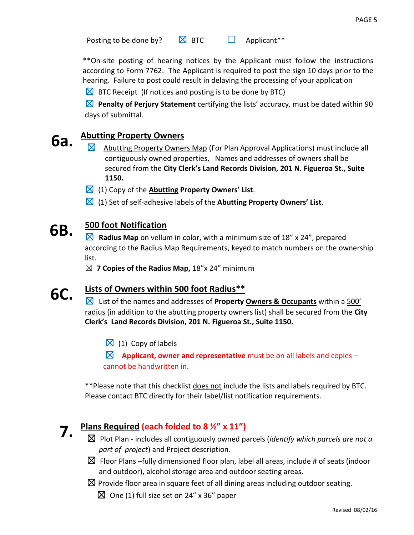Posting to be done by?  $\boxtimes$  BTC  $\Box$  Applicant\*\*

\*\*On-site posting of hearing notices by the Applicant must follow the instructions according to Form 7762. The Applicant is required to post the sign 10 days prior to the hearing. Failure to post could result in delaying the processing of your application

 $\boxtimes$  BTC Receipt (If notices and posting is to be done by BTC)

☒ **Penalty of Perjury Statement** certifying the lists' accuracy, must be dated within 90 days of submittal.

# **6a.** Abutting Property Owners

- Abutting Property Owners Map (For Plan Approval Applications) must include all contiguously owned properties, Names and addresses of owners shall be secured from the **City Clerk's Land Records Division, 201 N. Figueroa St., Suite 1150.**
- ☒ (1) Copy of the **Abutting Property Owners' List**.
- ☒ (1) Set of self-adhesive labels of the **Abutting Property Owners' List**.

#### **6B. 500 foot Notification**

☒ **Radius Map** on vellum in color, with a minimum size of 18" x 24", prepared according to the Radius Map Requirements, keyed to match numbers on the ownership list.

☒ **7 Copies of the Radius Map,** 18"x 24" minimum

#### **6C. Lists of Owners within 500 foot Radius\*\***

☒List of the names and addresses of **Property Owners & Occupants** within a 500' radius (in addition to the abutting property owners list) shall be secured from the **City Clerk's Land Records Division, 201 N. Figueroa St., Suite 1150.**

 $\boxtimes$  (1) Copy of labels

 $\boxtimes$  **Applicant, owner and representative** must be on all labels and copies – cannot be handwritten in.

\*\*Please note that this checklist does not include the lists and labels required by BTC. Please contact BTC directly for their label/list notification requirements.

## **7. Plans Required (each folded to 8 ½" x 11")**

- ☒ Plot Plan includes all contiguously owned parcels (*identify which parcels are not a part of project*) and Project description.
- $\boxtimes$  Floor Plans –fully dimensioned floor plan, label all areas, include # of seats (indoor and outdoor), alcohol storage area and outdoor seating areas.

 $\boxtimes$  Provide floor area in square feet of all dining areas including outdoor seating.

 $\boxtimes$  One (1) full size set on 24" x 36" paper